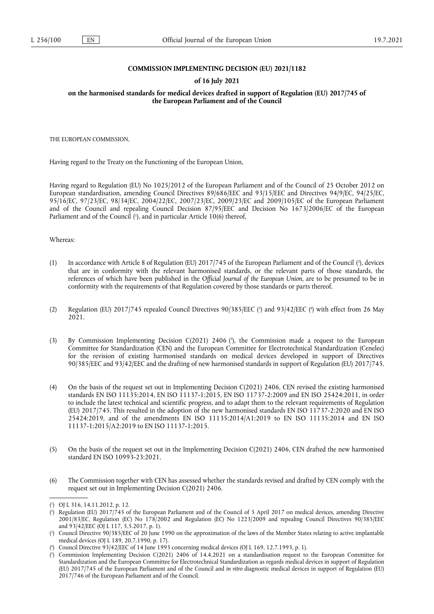## **COMMISSION IMPLEMENTING DECISION (EU) 2021/1182**

## **of 16 July 2021**

**on the harmonised standards for medical devices drafted in support of Regulation (EU) 2017/745 of the European Parliament and of the Council** 

THE EUROPEAN COMMISSION,

Having regard to the Treaty on the Functioning of the European Union,

Having regard to Regulation (EU) No 1025/2012 of the European Parliament and of the Council of 25 October 2012 on European standardisation, amending Council Directives 89/686/EEC and 93/15/EEC and Directives 94/9/EC, 94/25/EC, 95/16/EC, 97/23/EC, 98/34/EC, 2004/22/EC, 2007/23/EC, 2009/23/EC and 2009/105/EC of the European Parliament and of the Council and repealing Council Decision 87/95/EEC and Decision No 1673/2006/EC of the European Parliament and of the Council [\(](#page-0-0)'), and in particular Article 10(6) thereof,

#### <span id="page-0-5"></span>Whereas:

- <span id="page-0-6"></span>(1) In accordance with Article 8 of Regulation (EU) 2017/745 of the European Parliament and of the Council [\(](#page-0-1) 2 ), devices that are in conformity with the relevant harmonised standards, or the relevant parts of those standards, the references of which have been published in the *Official Journal of the European Union*, are to be presumed to be in conformity with the requirements of that Regulation covered by those standards or parts thereof.
- <span id="page-0-7"></span>[\(](#page-0-3)2) Regulation (EU)  $2017/745$  repealed Council Directives  $90/385/EEC$  ( $\textdegree$ ) and  $93/42/EEC$  ( $\textdegree$ ) with effect from 26 May 2021.
- <span id="page-0-8"></span>(3) By Commission Implementing Decision C(2021) 2406 ( 5 [\),](#page-0-4) the Commission made a request to the European Committee for Standardization (CEN) and the European Committee for Electrotechnical Standardization (Cenelec) for the revision of existing harmonised standards on medical devices developed in support of Directives 90/385/EEC and 93/42/EEC and the drafting of new harmonised standards in support of Regulation (EU) 2017/745.
- (4) On the basis of the request set out in Implementing Decision C(2021) 2406, CEN revised the existing harmonised standards EN ISO 11135:2014, EN ISO 11137-1:2015, EN ISO 11737-2:2009 and EN ISO 25424:2011, in order to include the latest technical and scientific progress, and to adapt them to the relevant requirements of Regulation (EU) 2017/745. This resulted in the adoption of the new harmonised standards EN ISO 11737-2:2020 and EN ISO 25424:2019, and of the amendments EN ISO 11135:2014/A1:2019 to EN ISO 11135:2014 and EN ISO 11137-1:2015/A2:2019 to EN ISO 11137-1:2015.
- (5) On the basis of the request set out in the Implementing Decision C(2021) 2406, CEN drafted the new harmonised standard EN ISO 10993-23:2021.
- (6) The Commission together with CEN has assessed whether the standards revised and drafted by CEN comply with the request set out in Implementing Decision C(2021) 2406.

<span id="page-0-0"></span>[<sup>\(</sup>](#page-0-5) 1 ) OJ L 316, 14.11.2012, p. 12.

<span id="page-0-1"></span>[<sup>\(</sup>](#page-0-6) 2 ) Regulation (EU) 2017/745 of the European Parliament and of the Council of 5 April 2017 on medical devices, amending Directive 2001/83/EC, Regulation (EC) No 178/2002 and Regulation (EC) No 1223/2009 and repealing Council Directives 90/385/EEC and  $93/42/EEC$  (OJ L 117, 5.5.2017, p. 1).

<span id="page-0-2"></span>[<sup>\(</sup>](#page-0-7) 3 ) Council Directive 90/385/EEC of 20 June 1990 on the approximation of the laws of the Member States relating to active implantable medical devices (OJ L 189, 20.7.1990, p. 17).

<span id="page-0-3"></span>[<sup>\(</sup>](#page-0-7) 4 ) Council Directive 93/42/EEC of 14 June 1993 concerning medical devices (OJ L 169, 12.7.1993, p. 1).

<span id="page-0-4"></span>[<sup>\(</sup>](#page-0-8) 5 ) Commission Implementing Decision C(2021) 2406 of 14.4.2021 on a standardisation request to the European Committee for Standardization and the European Committee for Electrotechnical Standardization as regards medical devices in support of Regulation (EU) 2017/745 of the European Parliament and of the Council and *in vitro* diagnostic medical devices in support of Regulation (EU) 2017/746 of the European Parliament and of the Council.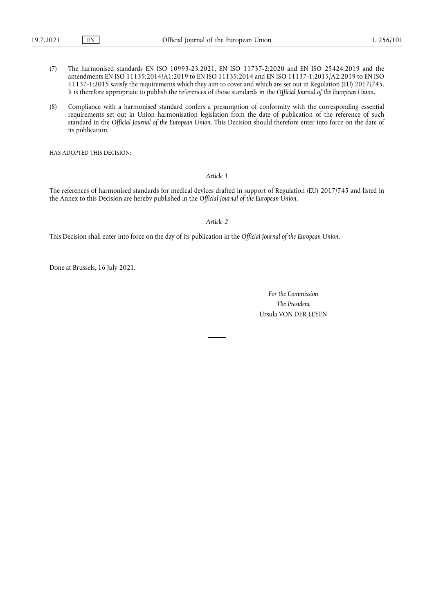- (7) The harmonised standards EN ISO 10993-23:2021, EN ISO 11737-2:2020 and EN ISO 25424:2019 and the amendments EN ISO 11135:2014/A1:2019 to EN ISO 11135:2014 and EN ISO 11137-1:2015/A2:2019 to EN ISO 11137-1:2015 satisfy the requirements which they aim to cover and which are set out in Regulation (EU) 2017/745. It is therefore appropriate to publish the references of those standards in the *Official Journal of the European Union*.
- (8) Compliance with a harmonised standard confers a presumption of conformity with the corresponding essential requirements set out in Union harmonisation legislation from the date of publication of the reference of such standard in the *Official Journal of the European Union*. This Decision should therefore enter into force on the date of its publication,

HAS ADOPTED THIS DECISION:

### *Article 1*

The references of harmonised standards for medical devices drafted in support of Regulation (EU) 2017/745 and listed in the Annex to this Decision are hereby published in the *Official Journal of the European Union*.

*Article 2*

This Decision shall enter into force on the day of its publication in the *Official Journal of the European Union*.

Done at Brussels, 16 July 2021.

*For the Commission The President* Ursula VON DER LEYEN